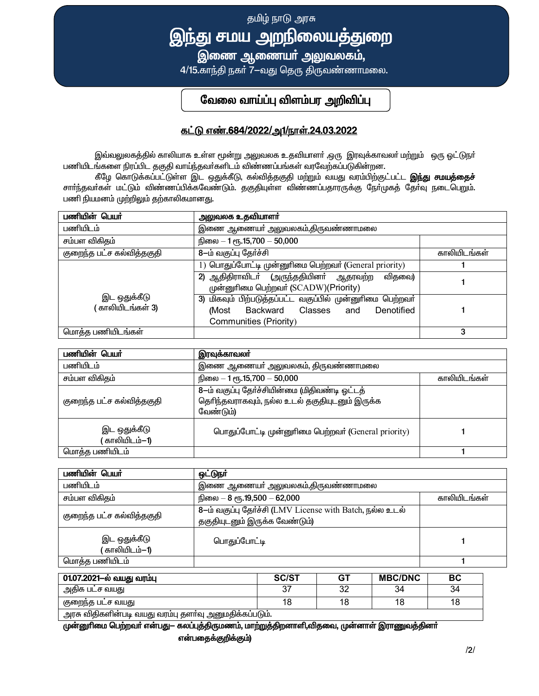தமிழ் நாடு அரசு

# <mark>இந்து சமய அறநிலையத்துற</mark>ை

இணை ஆணையர் அலுவலகம்,

4/15.காந்தி நகர் 7-வது தெரு திருவண்ணாமலை.

### வேலை வாய்ப்பு விளம்பர அறிவிப்பு

#### <u>கட்டு எண்.684/2022/அ1/நாள்.24.03.2022</u>

இவ்வலுலகத்தில் காலியாக உள்ள மூன்று அலுவலக உதவியாளர் ,ஒரு இரவுக்காவலா் மற்றும் ஒரு ஒட்டுநா் பணியிடங்களை நிரப்பிட தகுதி வாய்ந்தவர்களிடம் விண்ணப்பங்கள் வரவேற்கப்படுகின்றன.

கீழே கொடுக்கப்பட்டுள்ள இட ஒதுக்கீடு, கல்வித்தகுதி மற்றும் வயது வரம்பிற்குட்பட்ட **இந்து சமயத்தைச்** சார்ந்தவர்கள் மட்டும் விண்ணப்பிக்கவேண்டும். தகுதியுள்ள விண்ணப்பதாரருக்கு நேர்முகத் தேர்வு நடைபெறும். பணி நியமனம் முற்றிலும் தற்காலிகமானது.

| பணியின் பெயர்             | அலுவலக உதவியாளர்                                                                          |              |
|---------------------------|-------------------------------------------------------------------------------------------|--------------|
| பணியிடம்                  | இணை ஆணையா் அலுவலகம்,திருவண்ணாமலை                                                          |              |
| சம்பள விகிதம்             | நிலை $-1$ ரூ.15,700 $-$ 50,000                                                            |              |
| குறைந்த பட்ச கல்வித்தகுதி | 8-ம் வகுப்பு தேர்ச்சி                                                                     | காலியிடங்கள் |
|                           | 1) பொதுப்போட்டி முன்னூரிமை பெற்றவர் (General priority)                                    |              |
| இட ஒதுக்கீடு              | 2) ஆதிதிராவிடா் (அருந்ததியினா் ஆதரவற்ற<br>விதவை)<br>முன்னுரிமை பெற்றவர் (SCADW)(Priority) |              |
|                           | 3) மிகவும் பிற்படுத்தப்பட்ட வகுப்பில் முன்னுரிமை பெற்றவர்                                 |              |
| காலியிடங்கள் 3)           | Classes<br>Backward<br>Denotified<br>(Most<br>and                                         |              |
|                           | Communities (Priority)                                                                    |              |
| மொத்த பணியிடங்கள்         |                                                                                           | 3            |

| பணியின் பெயர்                | இரவுக்காவலா்                                                                                                 |              |
|------------------------------|--------------------------------------------------------------------------------------------------------------|--------------|
| பணியிடம்                     | இணை ஆணையா் அலுவலகம், திருவண்ணாமலை                                                                            |              |
| சம்பள விகிதம்                | நிலை $-1$ ரூ.15,700 $-50,000$                                                                                | காலியிடங்கள் |
| குறைந்த பட்ச கல்வித்தகுதி    | 8-ம் வகுப்பு தேர்ச்சியின்மை (மிதிவண்டி ஓட்டத்<br>தெரிந்தவராகவும், நல்ல உடல் தகுதியுடனும் இருக்க<br>வேண்டும்) |              |
| இட ஒதுக்கீடு<br>காலியிடம்-1) | பொதுப்போட்டி முன்னுரிமை பெற்றவர் (General priority)                                                          |              |
| மொத்த பணியிடம்               |                                                                                                              |              |

| பணியின் பெயர்                 | ஒட்டுநா்                                                                                  |              |
|-------------------------------|-------------------------------------------------------------------------------------------|--------------|
| பணியிடம்                      | இணை ஆணையா் அலுவலகம்,திருவண்ணாமலை                                                          |              |
| சம்பள விகிதம்                 | நிலை - 8 ரூ.19,500 - 62,000                                                               | காலியிடங்கள் |
| குறைந்த பட்ச கல்வித்தகுதி     | 8-ம் வகுப்பு தேர்ச்சி (LMV License with Batch, நல்ல உடல்<br>தகுதியுடனும் இருக்க வேண்டும்) |              |
| இட ஒதுக்கீடு<br>்காலியிடம்—1) | பொதுப்போட்டி                                                                              |              |
| மொத்த பணியிடம்                |                                                                                           |              |

| 01.07.2021-ல் வயது வரம்பு | <b>SC/ST</b> | GT       | <b>MBC/DNC</b> | ВC |
|---------------------------|--------------|----------|----------------|----|
| அதிக பட்ச வயது            |              | າດ<br>ےں | 34             | 34 |
| குறைந்த படச வயது          |              | 4 O      | 18             |    |
|                           |              |          |                |    |

| அரசு விதிகளின்படி வயது வரம்பு தளா்வு அனுமதிக்கப்படும்.

முன்னுரிமை பெற்றவர் என்பது— கலப்புத்திருமணம், மாற்றுத்திறனாளி,விதவை, முன்னாள் இராணுவத்தினர் என்பதைக்குறிக்கும்)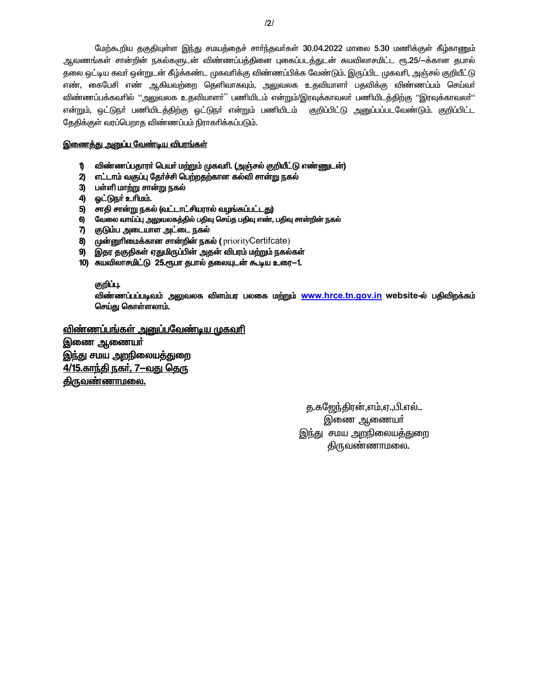மேற்கூறிய தகுதியுள்ள இந்து சமயத்தைச் சார்ந்தவர்கள் 30.04.2022 மாலை 5.30 மணிக்குள் கீழ்காணும் ஆவணங்கள் சான்றின் நகல்களுடன் விண்ணப்பத்தினை புகைப்படத்துடன் சுயவிலாசமிட்ட ரூ.25/—க்கான தபால் தலை ஒட்டிய கவர் ஒன்றுடன் கீழ்க்கண்ட முகவரிக்கு விண்ணப்பிக்க வேண்டும். இருப்பிட முகவரி, அஞ்சல் குறியீட்டு எண், கைபேசி எண் ஆகியவற்றை தெளிவாகவும், அலுவலக உதவியாளா் பதவிக்கு விண்ணப்பம் செய்வா் விண்ணப்பக்கவரில் ''அலுவலக உதவியாளா்'' பணியிடம் என்றும்/இரவுக்காவலா் பணியிடத்திற்கு ''இரவுக்காவலா்'' என்றும், ஒட்டுநா் பணியிடத்திற்கு ஒட்டுநா் என்றும் பணியிடம் குறிப்பிட்டு அனுப்பப்படவேண்டும். குறிப்பிட்ட தேதிக்குள் வரப்பெறாக விண்ணப்பம் நிராகரிக்கப்படும்.

#### <u>இணைத்து அனுப்ப வேண்டிய விபரங்கள்</u>

- 1) விண்ணப்பதாரா் பெயா் மற்றும் முகவாி. (அஞ்சல் குறியீட்டு எண்ணுடன்)
- 2) எட்டாம் வகுப்பு தேர்ச்சி பெற்றதற்கான கல்வி சான்று நகல்
- 3) பள்ளி மாற்று சான்று நகல்
- 4) ஓட்டுநர் உரிமம்.
- 5) சாதி சான்று நகல் (வட்டாட்சியரால் வழங்கப்பட்டது)
- 6) கேவலை வாய்ப்பு அலுவலகத்தில் பதிவு செய்த பதிவு எண், பதிவு சான்றின் நகல்
- 7) குடும்ப அடையாள அட்டை நகல்
- 8) முன்னுரிமைக்கான சான்றின் நகல் (priorityCertifcate)
- 9) இதர தகுதிகள் ஏதுமிருப்பின் அதன் விபரம் மற்றும் நகல்கள்
- 10) சுயவிலாசமிட்டு 25.ரூபா தபால் தலையுடன் கூடிய உரை—1.

#### குறிப்பு.

விண்ணப்பப்படிவம் அலுவலக விளம்பர பலகை மற்றும் www.hrce.tn.gov.in website-ல் பதிவிறக்கம் செய்து கொள்ளலாம்.

<u>விண்ணப்பங்கள் அனுப்பவேண்டிய முகவரி</u>

இணை ஆணையா் <u>இந்து</u> சமய அறநிலையத்துறை <u>4/15.காந்தி நகர், 7–வது தெரு</u> <u> திருவண்ணாமலை.</u>

> த.கஜேந்திரன்,எம்,ஏ.,பி.எல்.. இணை ஆணையா் இந்து சமய அறநிலையத்துறை திருவண்ணாமலை.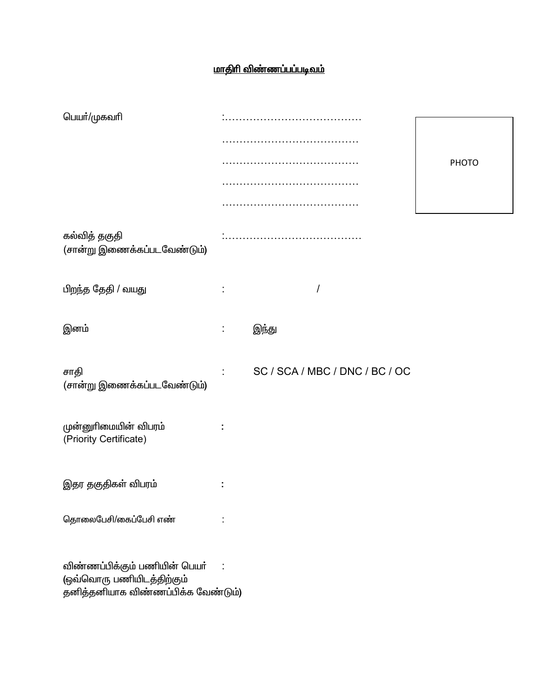## <u>மாதிரி விண்ணப்பப்படிவம்</u>

| பெயர்/முகவரி                                                                                     |                                |       |
|--------------------------------------------------------------------------------------------------|--------------------------------|-------|
|                                                                                                  |                                |       |
|                                                                                                  |                                |       |
|                                                                                                  |                                | PHOTO |
|                                                                                                  |                                |       |
|                                                                                                  |                                |       |
| கல்வித் தகுதி<br>(சான்று இணைக்கப்படவேண்டும்)                                                     |                                |       |
| பிறந்த தேதி / வயது                                                                               | 1                              |       |
| இனம்                                                                                             | இந்து<br>İ,                    |       |
| சாதி<br>(சான்று இணைக்கப்படவேண்டும்)                                                              | SC / SCA / MBC / DNC / BC / OC |       |
| முன்னுரிமையின் விபரம்<br>(Priority Certificate)                                                  |                                |       |
| இதர தகுதிகள் விபரம்                                                                              |                                |       |
| தொலைபேசி/கைப்பேசி எண்                                                                            |                                |       |
| விண்ணப்பிக்கும் பணியின் பெயா்<br>(ஒவ்வொரு பணியிடத்திற்கும்<br>தனித்தனியாக விண்ணப்பிக்க வேண்டும்) |                                |       |